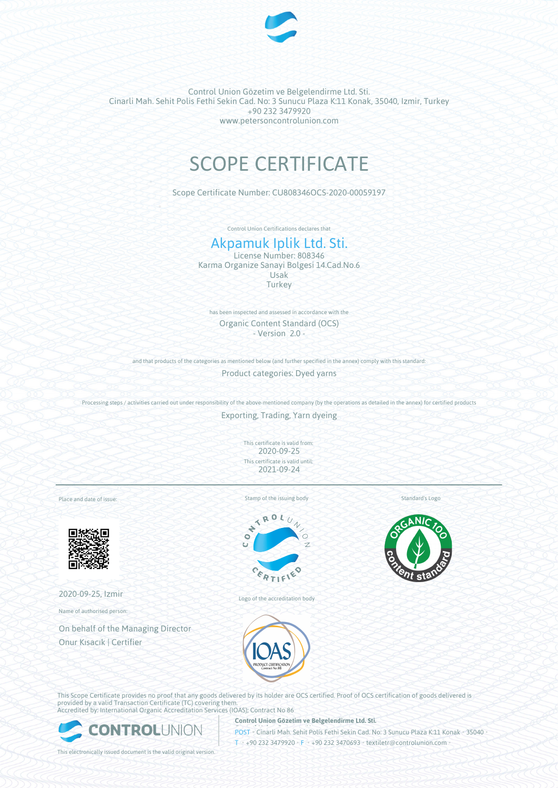

Control Union Gözetim ve Belgelendirme Ltd. Sti. Cinarli Mah. Sehit Polis Fethi Sekin Cad. No: 3 Sunucu Plaza K:11 Konak, 35040, Izmir, Turkey +90 232 3479920 www.petersoncontrolunion.com

# SCOPE CERTIFICATE

Scope Certificate Number: CU808346OCS-2020-00059197

Control Union Certifications declares that

# Akpamuk Iplik Ltd. Sti.

License Number: 808346 Karma Organize Sanayi Bolgesi 14.Cad.No.6 Usak **Turkey** 

has been inspected and assessed in accordance with the Organic Content Standard (OCS) - Version 2.0 -

and that products of the categories as mentioned below (and further specified in the annex) comply with this standard:

Product categories: Dyed yarns

Processing steps / activities carried out under responsibility of the above-mentioned company (by the operations as detailed in the annex) for certified products

Exporting, Trading, Yarn dyeing

This certificate is valid from: 2020-09-25 This certificate is valid until: 2021-09-24

Place and date of issue:



2020-09-25, Izmir

Name of authorised person:

On behalf of the Managing Director Onur Kısacık | Certifier

Stamp of the issuing body



Logo of the accreditation body

Standard's Logo





**Control Union Gözetim ve Belgelendirme Ltd. Sti.**

This Scope Certificate provides no proof that any goods delivered by its holder are OCS certified. Proof of OCS certification of goods delivered is provided by a valid Transaction Certificate (TC) covering them. Accredited by: International Organic Accreditation Services (IOAS); Contract No 86



POST • Cinarli Mah. Sehit Polis Fethi Sekin Cad. No: 3 Sunucu Plaza K:11 Konak • 35040 • T • +90 232 3479920 • F • +90 232 3470693 • textiletr@controlunion.com •

This electronically issued document is the valid original version.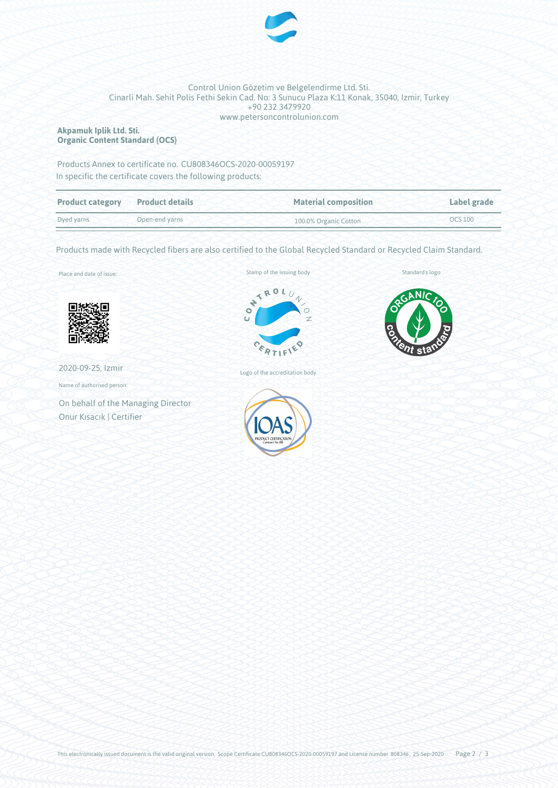

#### Control Union Gözetim ve Belgelendirme Ltd. Sti. Cinarli Mah. Sehit Polis Fethi Sekin Cad. No: 3 Sunucu Plaza K:11 Konak, 35040, Izmir, Turkey +90 232 3479920 www.petersoncontrolunion.com

## **Akpamuk Iplik Ltd. Sti. Organic Content Standard (OCS)**

Products Annex to certificate no. CU808346OCS-2020-00059197 In specific the certificate covers the following products:

| <b>Product category</b> | <b>Product details</b> | <b>Material composition</b> | Label grade |
|-------------------------|------------------------|-----------------------------|-------------|
| Dyed yarns              | Open-end varns         | 100.0% Organic Cotton       | OCS 100     |

Products made with Recycled fibers are also certified to the Global Recycled Standard or Recycled Claim Standard.

Place and date of issue:



2020-09-25, Izmir

Name of authorised person:

On behalf of the Managing Director Onur Kısacık | Certifier





Standard's logo

Logo of the accreditation body